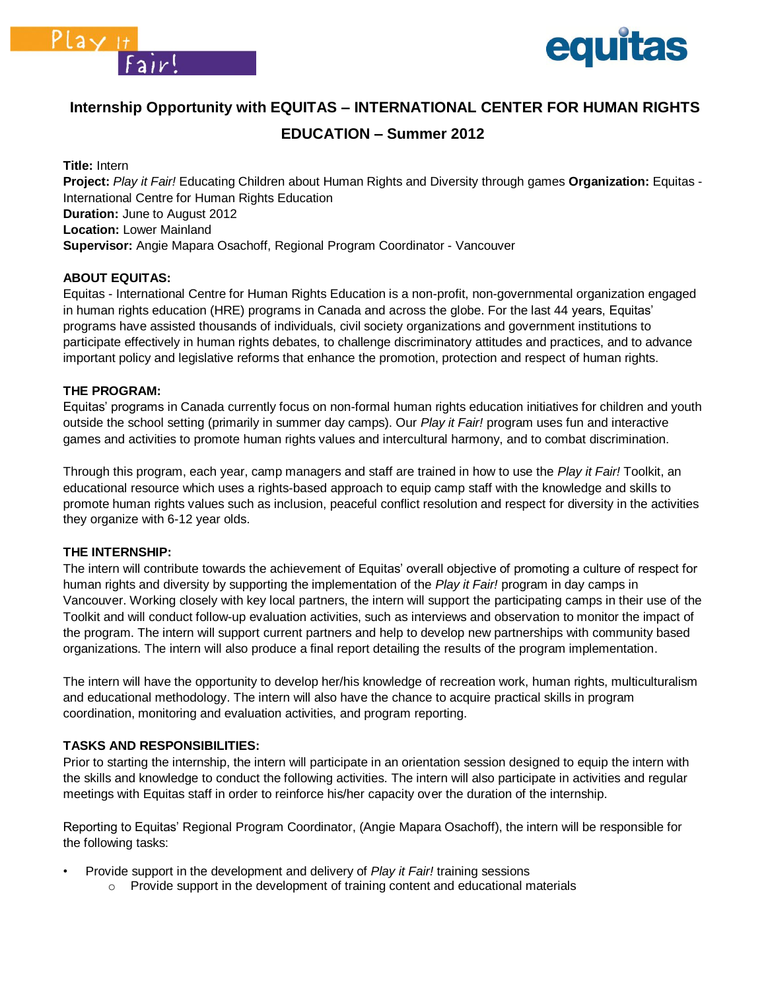



# **Internship Opportunity with EQUITAS – INTERNATIONAL CENTER FOR HUMAN RIGHTS**

# **EDUCATION – Summer 2012**

**Title:** Intern **Project:** *Play it Fair!* Educating Children about Human Rights and Diversity through games **Organization:** Equitas - International Centre for Human Rights Education **Duration:** June to August 2012 **Location:** Lower Mainland **Supervisor:** Angie Mapara Osachoff, Regional Program Coordinator - Vancouver

# **ABOUT EQUITAS:**

Equitas - International Centre for Human Rights Education is a non-profit, non-governmental organization engaged in human rights education (HRE) programs in Canada and across the globe. For the last 44 years, Equitas' programs have assisted thousands of individuals, civil society organizations and government institutions to participate effectively in human rights debates, to challenge discriminatory attitudes and practices, and to advance important policy and legislative reforms that enhance the promotion, protection and respect of human rights.

# **THE PROGRAM:**

Equitas' programs in Canada currently focus on non-formal human rights education initiatives for children and youth outside the school setting (primarily in summer day camps). Our *Play it Fair!* program uses fun and interactive games and activities to promote human rights values and intercultural harmony, and to combat discrimination.

Through this program, each year, camp managers and staff are trained in how to use the *Play it Fair!* Toolkit, an educational resource which uses a rights-based approach to equip camp staff with the knowledge and skills to promote human rights values such as inclusion, peaceful conflict resolution and respect for diversity in the activities they organize with 6-12 year olds.

#### **THE INTERNSHIP:**

The intern will contribute towards the achievement of Equitas' overall objective of promoting a culture of respect for human rights and diversity by supporting the implementation of the *Play it Fair!* program in day camps in Vancouver. Working closely with key local partners, the intern will support the participating camps in their use of the Toolkit and will conduct follow-up evaluation activities, such as interviews and observation to monitor the impact of the program. The intern will support current partners and help to develop new partnerships with community based organizations. The intern will also produce a final report detailing the results of the program implementation.

The intern will have the opportunity to develop her/his knowledge of recreation work, human rights, multiculturalism and educational methodology. The intern will also have the chance to acquire practical skills in program coordination, monitoring and evaluation activities, and program reporting.

# **TASKS AND RESPONSIBILITIES:**

Prior to starting the internship, the intern will participate in an orientation session designed to equip the intern with the skills and knowledge to conduct the following activities. The intern will also participate in activities and regular meetings with Equitas staff in order to reinforce his/her capacity over the duration of the internship.

Reporting to Equitas' Regional Program Coordinator, (Angie Mapara Osachoff), the intern will be responsible for the following tasks:

- Provide support in the development and delivery of *Play it Fair!* training sessions
	- $\circ$  Provide support in the development of training content and educational materials